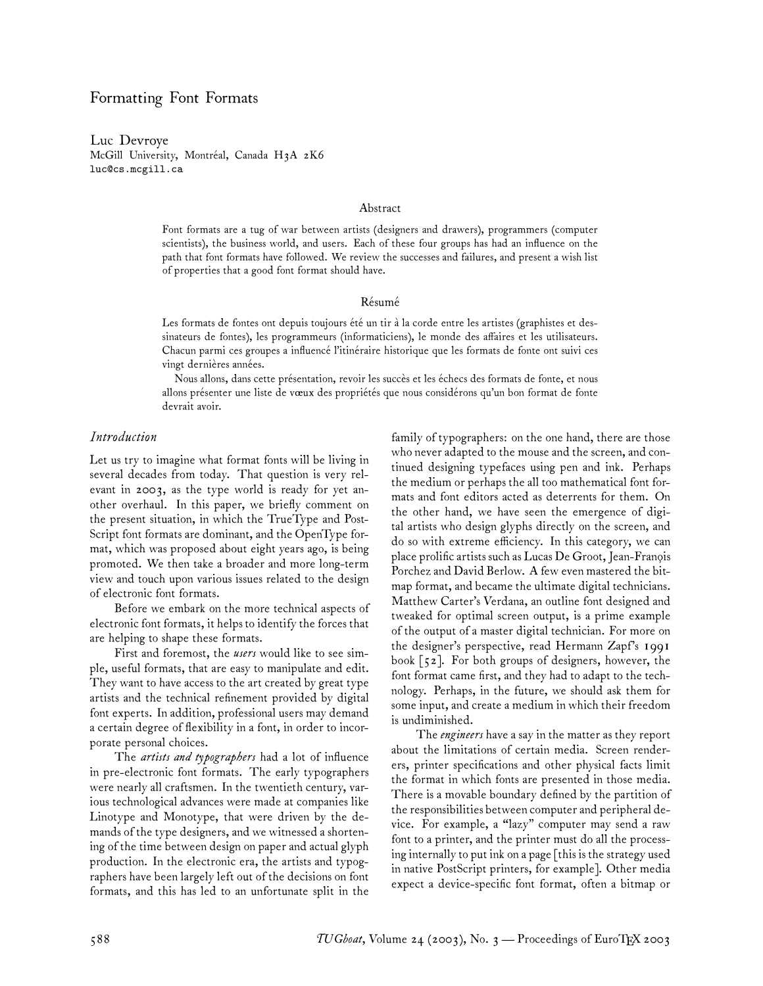## Formatting Font Formats

Luc Devroye McGill University, Montréal, Canada H3A 2K6 luc@cs.mcgill.ca

#### Abstract

Font formats are a tug of war between artists (designers and drawers), programmers (computer scientists), the business world, and users. Each of these four groups has had an influence on the path that font formats have followed. We review the successes and failures, and present a wish list of properties that a good font format should have.

#### Résumé

Les formats de fontes ont depuis toujours été un tir à la corde entre les artistes (graphistes et dessinateurs de fontes), les programmeurs (informaticiens), le monde des affaires et les utilisateurs. Chacun parmi ces groupes a influencé l'itinéraire historique que les formats de fonte ont suivi ces vingt dernières années.

Nous allons, dans cette présentation, revoir les succès et les échecs des formats de fonte, et nous allons présenter une liste de vœux des propriétés que nous considérons qu'un bon format de fonte devrait avoir.

#### *Introduction*

Let us try to imagine what format fonts will be living in several decades from today. That question is very relevant in 2003, as the type world is ready for yet another overhaul. In this paper, we briefly comment on the present situation, in which the TrueType and Post-Script font formats are dominant, and the OpenType format, which was proposed about eight years ago, is being promoted. We then take a broader and more long-term view and touch upon various issues related to the design of electronic font formats.

Before we embark on the more technical aspects of electronic font formats, it helps to identify the forces that are helping to shape these formats.

First and foremost, the *users* would like to see simple, useful formats, that are easy to manipulate and edit. They want to have access to the art created by great type artists and the technical refinement provided by digital font experts. In addition, professional users may demand a certain degree of flexibility in a font, in order to incorporate personal choices.

The *artists and typographers* had a lot of influence in pre-electronic font formats. The early typographers were nearly all craftsmen. In the twentieth century, various technological advances were made at companies like Linotype and Monotype, that were driven by the demands of the type designers, and we witnessed a shortening of the time between design on paper and actual glyph production. In the electronic era, the artists and typographers have been largely left out of the decisions on font formats, and this has led to an unfortunate split in the

family of typographers: on the one hand, there are those who never adapted to the mouse and the screen, and continued designing typefaces using pen and ink. Perhaps the medium or perhaps the all too mathematical font formats and font editors acted as deterrents for them. On the other hand, we have seen the emergence of digital artists who design glyphs directly on the screen, and do so with extreme efficiency. In this category, we can place prolific artists such as Lucas De Groot, Jean-Franois Porchez and David Berlow. A few even mastered the bitmap format, and became the ultimate digital technicians. Matthew Carter's Verdana, an outline font designed and tweaked for optimal screen output, is a prime example of the output of a master digital technician. For more on the designer's perspective, read Hermann Zapf's 1991 book [52]. For both groups of designers, however, the font format came first, and they had to adapt to the technology. Perhaps, in the future, we should ask them for some input, and create a medium in which their freedom is undiminished.

The *engineers* have a say in the matter as they report about the limitations of certain media. Screen renderers, printer specifications and other physical facts limit the format in which fonts are presented in those media. There is a movable boundary defined by the partition of the responsibilities between computer and peripheral device. For example, a "lazy" computer may send a raw font to a printer, and the printer must do all the processing internally to put ink on a page [this is the strategy used in native PostScript printers, for example]. Other media expect a device-specific font format, often a bitmap or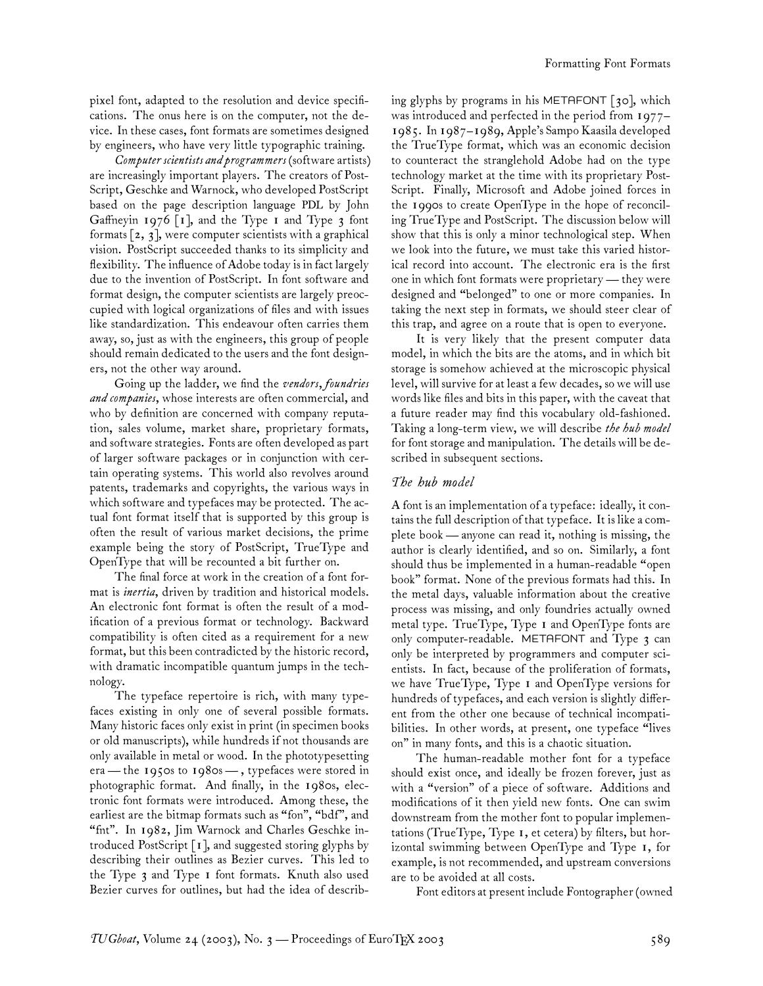pixel font, adapted to the resolution and device specifications. The onus here is on the computer, not the device. In these cases, font formats are sometimes designed by engineers, who have very little typographic training.

*Computer scientists and programmers* (software artists) are increasingly important players. The creators of Post-Script, Geschke and Warnock, who developed PostScript based on the page description language PDL by John Gaffneyin 1976  $\lceil 1 \rceil$ , and the Type 1 and Type 3 font formats  $\lceil 2, 3 \rceil$ , were computer scientists with a graphical vision. PostScript succeeded thanks to its simplicity and flexibility. The influence of Adobe today is in fact largely due to the invention of PostScript. In font software and format design, the computer scientists are largely preoccupied with logical organizations of files and with issues like standardization. This endeavour often carries them away, so, just as with the engineers, this group of people should remain dedicated to the users and the font designers, not the other way around.

Going up the ladder, we find the *vendors, foundries and companies*, whose interests are often commercial, and who by definition are concerned with company reputation, sales volume, market share, proprietary formats, and software strategies. Fonts are often developed as part of larger software packages or in conjunction with certain operating systems. This world also revolves around patents, trademarks and copyrights, the various ways in which software and typefaces may be protected. The actual font format itself that is supported by this group is often the result of various market decisions, the prime example being the story of PostScript, TrueType and OpenType that will be recounted a bit further on.

The final force at work in the creation of a font format is *inertia*, driven by tradition and historical models. An electronic font format is often the result of a modification of a previous format or technology. Backward compatibility is often cited as a requirement for a new format, but this been contradicted by the historic record, with dramatic incompatible quantum jumps in the technology.

The typeface repertoire is rich, with many typefaces existing in only one of several possible formats. Many historic faces only exist in print (in specimen books or old manuscripts), while hundreds if not thousands are only available in metal or wood. In the phototypesetting era— the 1950s to 1980s — , typefaces were stored in photographic format. And finally, in the 1980s, electronic font formats were introduced. Among these, the earliest are the bitmap formats such as "fon", "bdf", and "fnt". In 1982, Jim Warnock and Charles Geschke introduced PostScript [1], and suggested storing glyphs by describing their outlines as Bezier curves. This led to the Type 3 and Type 1 font formats. Knuth also used Bezier curves for outlines, but had the idea of describing glyphs by programs in his METAFONT [30], which was introduced and perfected in the period from 1977– 1985. In 1987–1989, Apple's Sampo Kaasila developed the TrueType format, which was an economic decision to counteract the stranglehold Adobe had on the type technology market at the time with its proprietary Post-Script. Finally, Microsoft and Adobe joined forces in the 1990s to create OpenType in the hope of reconciling TrueType and PostScript. The discussion below will show that this is only a minor technological step. When we look into the future, we must take this varied historical record into account. The electronic era is the first one in which font formats were proprietary — they were designed and "belonged" to one or more companies. In taking the next step in formats, we should steer clear of this trap, and agree on a route that is open to everyone.

It is very likely that the present computer data model, in which the bits are the atoms, and in which bit storage is somehow achieved at the microscopic physical level, will survive for at least a few decades, so we will use words like files and bits in this paper, with the caveat that a future reader may find this vocabulary old-fashioned. Taking a long-term view, we will describe *the hub model* for font storage and manipulation. The details will be described in subsequent sections.

### *The hub model*

A font is an implementation of a typeface: ideally, it contains the full description of that typeface. It is like a complete book— anyone can read it, nothing is missing, the author is clearly identified, and so on. Similarly, a font should thus be implemented in a human-readable "open book" format. None of the previous formats had this. In the metal days, valuable information about the creative process was missing, and only foundries actually owned metal type. TrueType, Type 1 and OpenType fonts are only computer-readable. METAFONT and Type 3 can only be interpreted by programmers and computer scientists. In fact, because of the proliferation of formats, we have TrueType, Type 1 and OpenType versions for hundreds of typefaces, and each version is slightly different from the other one because of technical incompatibilities. In other words, at present, one typeface "lives on" in many fonts, and this is a chaotic situation.

The human-readable mother font for a typeface should exist once, and ideally be frozen forever, just as with a "version" of a piece of software. Additions and modifications of it then yield new fonts. One can swim downstream from the mother font to popular implementations (TrueType, Type 1, et cetera) by filters, but horizontal swimming between OpenType and Type 1, for example, is not recommended, and upstream conversions are to be avoided at all costs.

Font editors at present include Fontographer (owned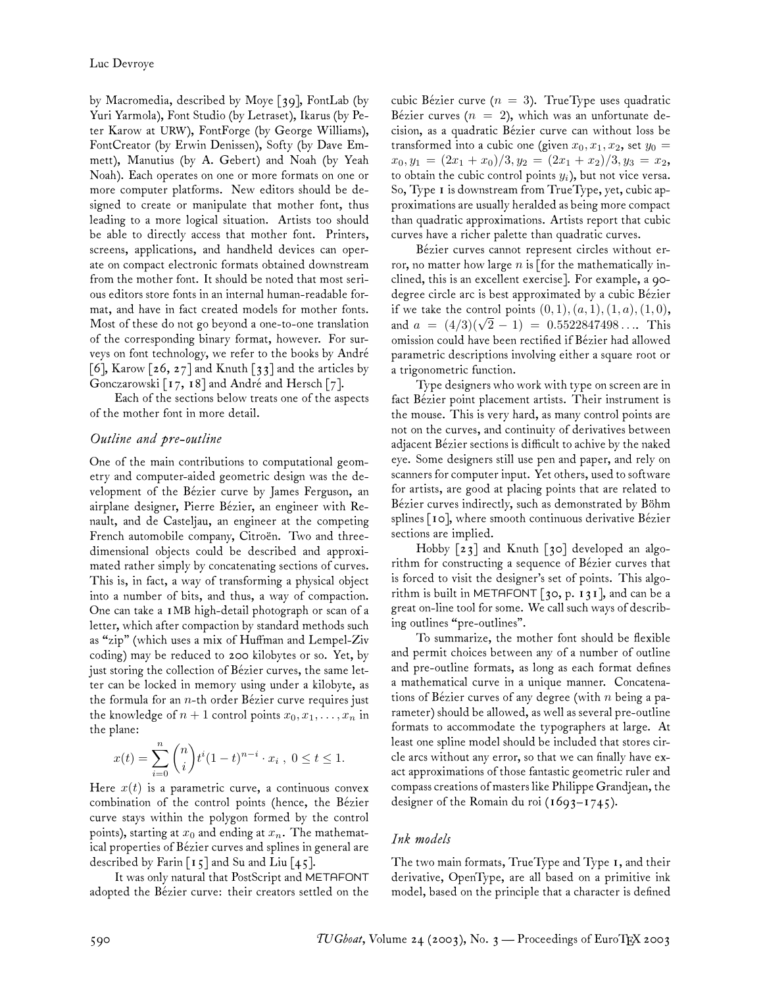by Macromedia, described by Moye [39], FontLab (by Yuri Yarmola), Font Studio (by Letraset), Ikarus (by Peter Karow at URW), FontForge (by George Williams), FontCreator (by Erwin Denissen), Softy (by Dave Emmett), Manutius (by A. Gebert) and Noah (by Yeah Noah). Each operates on one or more formats on one or more computer platforms. New editors should be designed to create or manipulate that mother font, thus leading to a more logical situation. Artists too should be able to directly access that mother font. Printers, screens, applications, and handheld devices can operate on compact electronic formats obtained downstream from the mother font. It should be noted that most serious editors store fonts in an internal human-readable format, and have in fact created models for mother fonts. Most of these do not go beyond a one-to-one translation of the corresponding binary format, however. For surveys on font technology, we refer to the books by André [6], Karow  $[26, 27]$  and Knuth  $[33]$  and the articles by Gonczarowski [17, 18] and André and Hersch [7].

Each of the sections below treats one of the aspects of the mother font in more detail.

### *Outline and pre-outline*

One of the main contributions to computational geometry and computer-aided geometric design was the development of the Bézier curve by James Ferguson, an airplane designer, Pierre Bézier, an engineer with Renault, and de Casteljau, an engineer at the competing French automobile company, Citroën. Two and threedimensional objects could be described and approximated rather simply by concatenating sections of curves. This is, in fact, a way of transforming a physical object into a number of bits, and thus, a way of compaction. One can take a 1MB high-detail photograph or scan of a letter, which after compaction by standard methods such as "zip" (which uses a mix of Huffman and Lempel-Ziv coding) may be reduced to 200 kilobytes or so. Yet, by just storing the collection of Bézier curves, the same letter can be locked in memory using under a kilobyte, as the formula for an  $n$ -th order Bézier curve requires just the knowledge of  $n + 1$  control points  $x_0, x_1, \ldots, x_n$  in the plane:

$$
x(t) = \sum_{i=0}^{n} {n \choose i} t^{i} (1-t)^{n-i} \cdot x_i , 0 \le t \le 1.
$$

Here  $x(t)$  is a parametric curve, a continuous convex combination of the control points (hence, the Bézier curve stays within the polygon formed by the control points), starting at  $x_0$  and ending at  $x_n$ . The mathematical properties of Bézier curves and splines in general are described by Farin [15] and Su and Liu [45].

It was only natural that PostScript and METAFONT adopted the Bézier curve: their creators settled on the

cubic Bézier curve ( $n = 3$ ). TrueType uses quadratic Bézier curves ( $n = 2$ ), which was an unfortunate decision, as a quadratic Bézier curve can without loss be transformed into a cubic one (given  $x_0, x_1, x_2$ , set  $y_0 =$  $x_0, y_1 = (2x_1 + x_0)/3, y_2 = (2x_1 + x_2)/3, y_3 = x_2,$ to obtain the cubic control points  $y_i$ ), but not vice versa. So, Type 1 is downstream from TrueType, yet, cubic approximations are usually heralded as being more compact than quadratic approximations. Artists report that cubic curves have a richer palette than quadratic curves.

Bézier curves cannot represent circles without error, no matter how large n is [for the mathematically inclined, this is an excellent exercise]. For example, a 90 degree circle arc is best approximated by a cubic Bézier if we take the control points  $(0, 1), (a, 1), (1, a), (1, 0),$ and  $a = (4/3)(\sqrt{2} - 1) = 0.5522847498...$  This omission could have been rectified if Bézier had allowed parametric descriptions involving either a square root or a trigonometric function.

Type designers who work with type on screen are in fact Bézier point placement artists. Their instrument is the mouse. This is very hard, as many control points are not on the curves, and continuity of derivatives between adjacent Bézier sections is difficult to achive by the naked eye. Some designers still use pen and paper, and rely on scanners for computer input. Yet others, used to software for artists, are good at placing points that are related to Bézier curves indirectly, such as demonstrated by Böhm splines [10], where smooth continuous derivative Bézier sections are implied.

Hobby [23] and Knuth [30] developed an algorithm for constructing a sequence of Bézier curves that is forced to visit the designer's set of points. This algorithm is built in METAFONT  $\lceil 30, p. 131 \rceil$ , and can be a great on-line tool for some. We call such ways of describing outlines "pre-outlines".

To summarize, the mother font should be flexible and permit choices between any of a number of outline and pre-outline formats, as long as each format defines a mathematical curve in a unique manner. Concatenations of Bézier curves of any degree (with  $n$  being a parameter) should be allowed, as well as several pre-outline formats to accommodate the typographers at large. At least one spline model should be included that stores circle arcs without any error, so that we can finally have exact approximations of those fantastic geometric ruler and compass creations of masters like Philippe Grandjean, the designer of the Romain du roi (1693–1745).

### *Ink models*

The two main formats, TrueType and Type 1, and their derivative, OpenType, are all based on a primitive ink model, based on the principle that a character is defined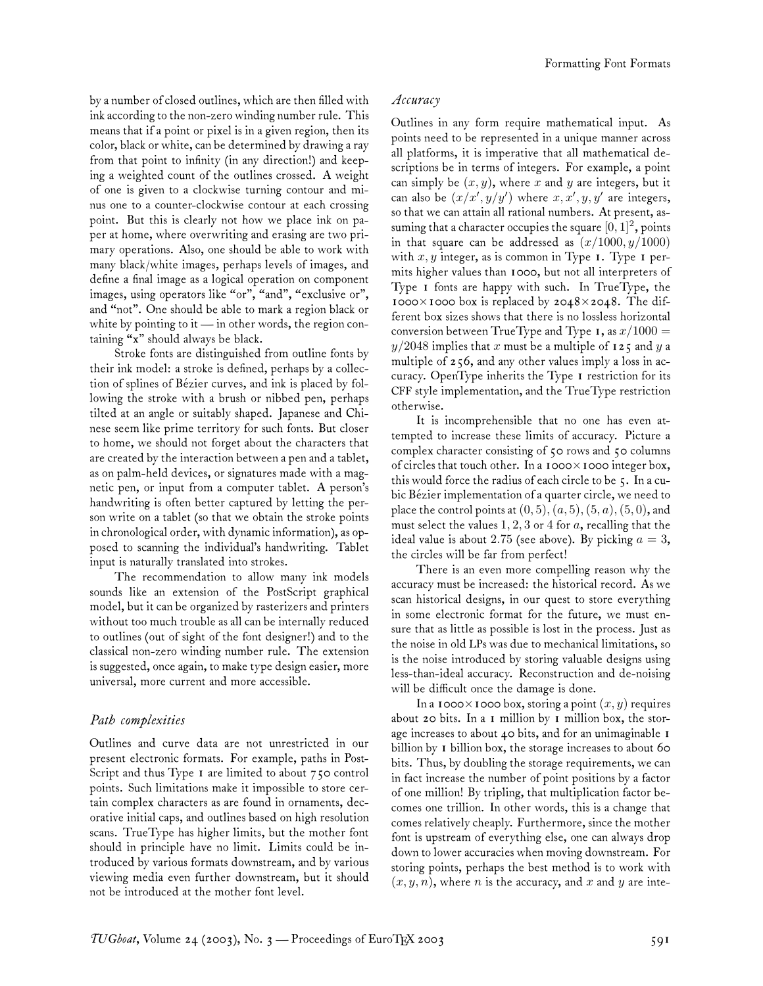by a number of closed outlines, which are then filled with ink according to the non-zero winding number rule. This means that if a point or pixel is in a given region, then its color, black or white, can be determined by drawing a ray from that point to infinity (in any direction!) and keeping a weighted count of the outlines crossed. A weight of one is given to a clockwise turning contour and minus one to a counter-clockwise contour at each crossing point. But this is clearly not how we place ink on paper at home, where overwriting and erasing are two primary operations. Also, one should be able to work with many black/white images, perhaps levels of images, and define a final image as a logical operation on component images, using operators like "or", "and", "exclusive or", and "not". One should be able to mark a region black or white by pointing to it  $\frac{1}{10}$  in other words, the region containing "x" should always be black.

Stroke fonts are distinguished from outline fonts by their ink model: a stroke is defined, perhaps by a collection of splines of Bézier curves, and ink is placed by following the stroke with a brush or nibbed pen, perhaps tilted at an angle or suitably shaped. Japanese and Chinese seem like prime territory for such fonts. But closer to home, we should not forget about the characters that are created by the interaction between a pen and a tablet, as on palm-held devices, or signatures made with a magnetic pen, or input from a computer tablet. A person's handwriting is often better captured by letting the person write on a tablet (so that we obtain the stroke points in chronological order, with dynamic information), as opposed to scanning the individual's handwriting. Tablet input is naturally translated into strokes.

The recommendation to allow many ink models sounds like an extension of the PostScript graphical model, but it can be organized by rasterizers and printers without too much trouble as all can be internally reduced to outlines (out of sight of the font designer!) and to the classical non-zero winding number rule. The extension is suggested, once again, to make type design easier, more universal, more current and more accessible.

### *Path complexities*

Outlines and curve data are not unrestricted in our present electronic formats. For example, paths in Post-Script and thus Type 1 are limited to about 750 control points. Such limitations make it impossible to store certain complex characters as are found in ornaments, decorative initial caps, and outlines based on high resolution scans. TrueType has higher limits, but the mother font should in principle have no limit. Limits could be introduced by various formats downstream, and by various viewing media even further downstream, but it should not be introduced at the mother font level.

## *Accuracy*

Outlines in any form require mathematical input. As points need to be represented in a unique manner across all platforms, it is imperative that all mathematical descriptions be in terms of integers. For example, a point can simply be  $(x, y)$ , where x and y are integers, but it can also be  $(x/x', y/y')$  where  $x, x', y, y'$  are integers, so that we can attain all rational numbers. At present, assuming that a character occupies the square  $[0,1]^2$ , points in that square can be addressed as  $(x/1000, y/1000)$ with  $x, y$  integer, as is common in Type 1. Type 1 permits higher values than 1000, but not all interpreters of Type 1 fonts are happy with such. In TrueType, the 1000 $\times$ 1000 box is replaced by 2048 $\times$ 2048. The different box sizes shows that there is no lossless horizontal conversion between TrueType and Type 1, as  $x/1000 =$  $y/2048$  implies that  $x$  must be a multiple of 125 and  $y$  a multiple of 256, and any other values imply a loss in accuracy. OpenType inherits the Type 1 restriction for its CFF style implementation, and the TrueType restriction otherwise.

It is incomprehensible that no one has even attempted to increase these limits of accuracy. Picture a complex character consisting of 50 rows and 50 columns of circles that touch other. In a 1000×1000 integer box, this would force the radius of each circle to be 5. In a cubic Bézier implementation of a quarter circle, we need to place the control points at  $(0, 5), (a, 5), (5, a), (5, 0)$ , and must select the values  $1, 2, 3$  or 4 for a, recalling that the ideal value is about 2.75 (see above). By picking  $a = 3$ , the circles will be far from perfect!

There is an even more compelling reason why the accuracy must be increased: the historical record. As we scan historical designs, in our quest to store everything in some electronic format for the future, we must ensure that as little as possible is lost in the process. Just as the noise in old LPs was due to mechanical limitations, so is the noise introduced by storing valuable designs using less-than-ideal accuracy. Reconstruction and de-noising will be difficult once the damage is done.

In a 1000 $\times$ 1000 box, storing a point  $(x, y)$  requires about 20 bits. In a 1 million by 1 million box, the storage increases to about 40 bits, and for an unimaginable 1 billion by I billion box, the storage increases to about 60 bits. Thus, by doubling the storage requirements, we can in fact increase the number of point positions by a factor of one million! By tripling, that multiplication factor becomes one trillion. In other words, this is a change that comes relatively cheaply. Furthermore, since the mother font is upstream of everything else, one can always drop down to lower accuracies when moving downstream. For storing points, perhaps the best method is to work with  $(x, y, n)$ , where *n* is the accuracy, and *x* and *y* are inte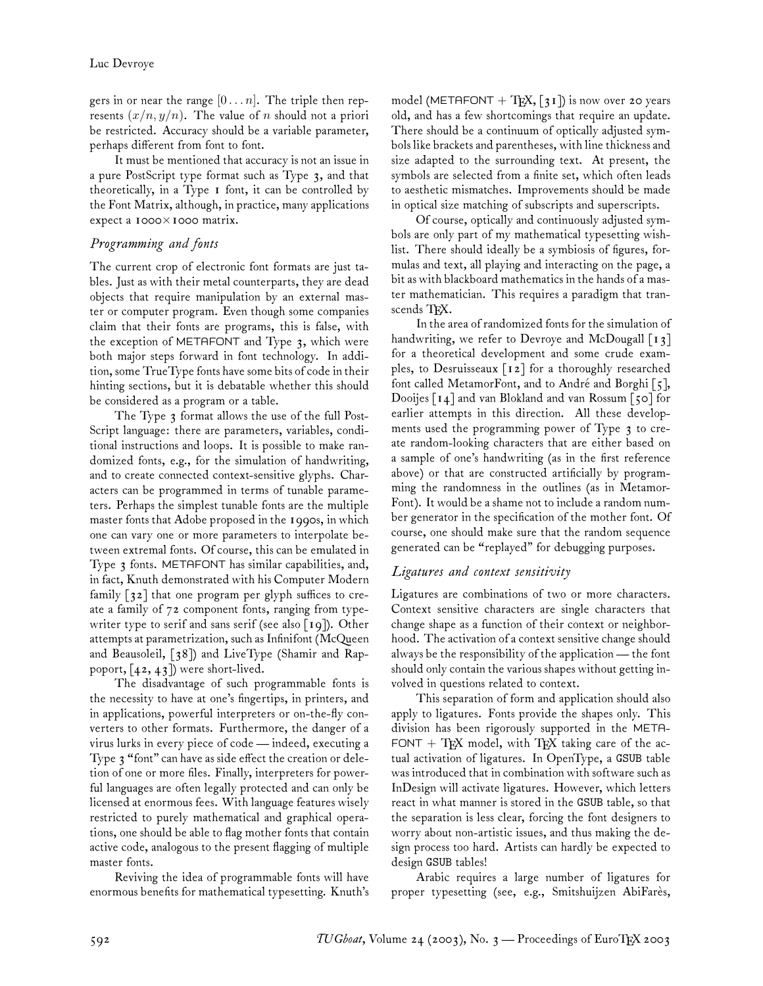gers in or near the range  $[0 \dots n]$ . The triple then represents  $(x/n, y/n)$ . The value of n should not a priori be restricted. Accuracy should be a variable parameter, perhaps different from font to font.

It must be mentioned that accuracy is not an issue in a pure PostScript type format such as Type 3, and that theoretically, in a Type 1 font, it can be controlled by the Font Matrix, although, in practice, many applications expect a 1000×1000 matrix.

## *Programming and fonts*

The current crop of electronic font formats are just tables. Just as with their metal counterparts, they are dead objects that require manipulation by an external master or computer program. Even though some companies claim that their fonts are programs, this is false, with the exception of METAFONT and Type 3, which were both major steps forward in font technology. In addition, some TrueType fonts have some bits of code in their hinting sections, but it is debatable whether this should be considered as a program or a table.

The Type 3 format allows the use of the full Post-Script language: there are parameters, variables, conditional instructions and loops. It is possible to make randomized fonts, e.g., for the simulation of handwriting, and to create connected context-sensitive glyphs. Characters can be programmed in terms of tunable parameters. Perhaps the simplest tunable fonts are the multiple master fonts that Adobe proposed in the 1990s, in which one can vary one or more parameters to interpolate between extremal fonts. Of course, this can be emulated in Type 3 fonts. METAFONT has similar capabilities, and, in fact, Knuth demonstrated with his Computer Modern family [32] that one program per glyph suffices to create a family of 72 component fonts, ranging from typewriter type to serif and sans serif (see also  $\lceil q \rceil$ ). Other attempts at parametrization, such as Infinifont (McQueen and Beausoleil, [38]) and LiveType (Shamir and Rappoport,  $[42, 43]$  were short-lived.

The disadvantage of such programmable fonts is the necessity to have at one's fingertips, in printers, and in applications, powerful interpreters or on-the-fly converters to other formats. Furthermore, the danger of a virus lurks in every piece of code— indeed, executing a Type 3 "font" can have as side effect the creation or deletion of one or more files. Finally, interpreters for powerful languages are often legally protected and can only be licensed at enormous fees. With language features wisely restricted to purely mathematical and graphical operations, one should be able to flag mother fonts that contain active code, analogous to the present flagging of multiple master fonts.

Reviving the idea of programmable fonts will have enormous benefits for mathematical typesetting. Knuth's model (METAFONT  $+$  TEX, [31]) is now over 20 years old, and has a few shortcomings that require an update. There should be a continuum of optically adjusted symbols like brackets and parentheses, with line thickness and size adapted to the surrounding text. At present, the symbols are selected from a finite set, which often leads to aesthetic mismatches. Improvements should be made in optical size matching of subscripts and superscripts.

Of course, optically and continuously adjusted symbols are only part of my mathematical typesetting wishlist. There should ideally be a symbiosis of figures, formulas and text, all playing and interacting on the page, a bit as with blackboard mathematics in the hands of a master mathematician. This requires a paradigm that transcends TFX.

In the area of randomized fonts for the simulation of handwriting, we refer to Devroye and McDougall  $\lceil i \, \cdot \, \cdot \rceil$ for a theoretical development and some crude examples, to Desruisseaux [12] for a thoroughly researched font called MetamorFont, and to André and Borghi [5], Dooijes [14] and van Blokland and van Rossum [50] for earlier attempts in this direction. All these developments used the programming power of Type 3 to create random-looking characters that are either based on a sample of one's handwriting (as in the first reference above) or that are constructed artificially by programming the randomness in the outlines (as in Metamor-Font). It would be a shame not to include a random number generator in the specification of the mother font. Of course, one should make sure that the random sequence generated can be "replayed" for debugging purposes.

# *Ligatures and context sensitivity*

Ligatures are combinations of two or more characters. Context sensitive characters are single characters that change shape as a function of their context or neighborhood. The activation of a context sensitive change should always be the responsibility of the application— the font should only contain the various shapes without getting involved in questions related to context.

This separation of form and application should also apply to ligatures. Fonts provide the shapes only. This division has been rigorously supported in the META-FONT  $+$  TEX model, with TEX taking care of the actual activation of ligatures. In OpenType, a GSUB table was introduced that in combination with software such as InDesign will activate ligatures. However, which letters react in what manner is stored in the GSUB table, so that the separation is less clear, forcing the font designers to worry about non-artistic issues, and thus making the design process too hard. Artists can hardly be expected to design GSUB tables!

Arabic requires a large number of ligatures for proper typesetting (see, e.g., Smitshuijzen AbiFarès,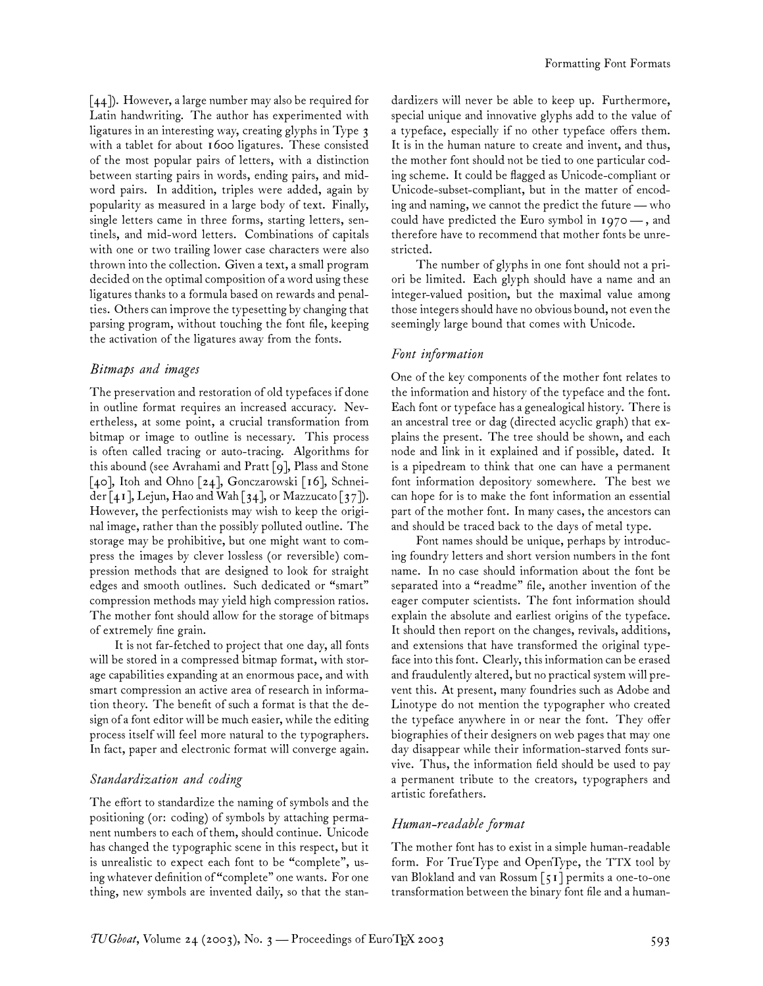[44]). However, a large number may also be required for Latin handwriting. The author has experimented with ligatures in an interesting way, creating glyphs in Type 3 with a tablet for about 1600 ligatures. These consisted of the most popular pairs of letters, with a distinction between starting pairs in words, ending pairs, and midword pairs. In addition, triples were added, again by popularity as measured in a large body of text. Finally, single letters came in three forms, starting letters, sentinels, and mid-word letters. Combinations of capitals with one or two trailing lower case characters were also thrown into the collection. Given a text, a small program decided on the optimal composition of a word using these ligatures thanks to a formula based on rewards and penalties. Others can improve the typesetting by changing that parsing program, without touching the font file, keeping the activation of the ligatures away from the fonts.

## *Bitmaps and images*

The preservation and restoration of old typefaces if done in outline format requires an increased accuracy. Nevertheless, at some point, a crucial transformation from bitmap or image to outline is necessary. This process is often called tracing or auto-tracing. Algorithms for this abound (see Avrahami and Pratt [9], Plass and Stone [40], Itoh and Ohno [24], Gonczarowski [16], Schneider [41], Lejun, Hao and Wah [34], or Mazzucato [37]). However, the perfectionists may wish to keep the original image, rather than the possibly polluted outline. The storage may be prohibitive, but one might want to compress the images by clever lossless (or reversible) compression methods that are designed to look for straight edges and smooth outlines. Such dedicated or "smart" compression methods may yield high compression ratios. The mother font should allow for the storage of bitmaps of extremely fine grain.

It is not far-fetched to project that one day, all fonts will be stored in a compressed bitmap format, with storage capabilities expanding at an enormous pace, and with smart compression an active area of research in information theory. The benefit of such a format is that the design of a font editor will be much easier, while the editing process itself will feel more natural to the typographers. In fact, paper and electronic format will converge again.

## *Standardization and coding*

The effort to standardize the naming of symbols and the positioning (or: coding) of symbols by attaching permanent numbers to each of them, should continue. Unicode has changed the typographic scene in this respect, but it is unrealistic to expect each font to be "complete", using whatever definition of "complete" one wants. For one thing, new symbols are invented daily, so that the standardizers will never be able to keep up. Furthermore, special unique and innovative glyphs add to the value of a typeface, especially if no other typeface offers them. It is in the human nature to create and invent, and thus, the mother font should not be tied to one particular coding scheme. It could be flagged as Unicode-compliant or Unicode-subset-compliant, but in the matter of encoding and naming, we cannot the predict the future— who could have predicted the Euro symbol in 1970 — , and therefore have to recommend that mother fonts be unrestricted.

The number of glyphs in one font should not a priori be limited. Each glyph should have a name and an integer-valued position, but the maximal value among those integers should have no obvious bound, not even the seemingly large bound that comes with Unicode.

### *Font information*

One of the key components of the mother font relates to the information and history of the typeface and the font. Each font or typeface has a genealogical history. There is an ancestral tree or dag (directed acyclic graph) that explains the present. The tree should be shown, and each node and link in it explained and if possible, dated. It is a pipedream to think that one can have a permanent font information depository somewhere. The best we can hope for is to make the font information an essential part of the mother font. In many cases, the ancestors can and should be traced back to the days of metal type.

Font names should be unique, perhaps by introducing foundry letters and short version numbers in the font name. In no case should information about the font be separated into a "readme" file, another invention of the eager computer scientists. The font information should explain the absolute and earliest origins of the typeface. It should then report on the changes, revivals, additions, and extensions that have transformed the original typeface into this font. Clearly, this information can be erased and fraudulently altered, but no practical system will prevent this. At present, many foundries such as Adobe and Linotype do not mention the typographer who created the typeface anywhere in or near the font. They offer biographies of their designers on web pages that may one day disappear while their information-starved fonts survive. Thus, the information field should be used to pay a permanent tribute to the creators, typographers and artistic forefathers.

### *Human-readable format*

The mother font has to exist in a simple human-readable form. For TrueType and OpenType, the TTX tool by van Blokland and van Rossum [51] permits a one-to-one transformation between the binary font file and a human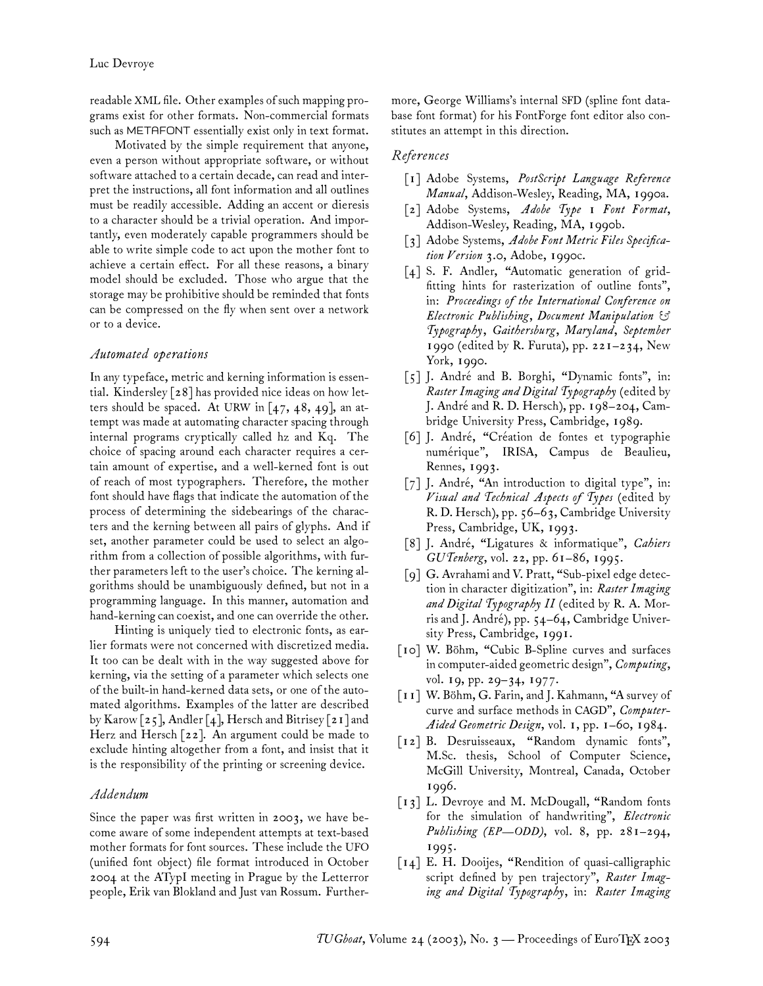readable XML file. Other examples of such mapping programs exist for other formats. Non-commercial formats such as METAFONT essentially exist only in text format.

Motivated by the simple requirement that anyone, even a person without appropriate software, or without software attached to a certain decade, can read and interpret the instructions, all font information and all outlines must be readily accessible. Adding an accent or dieresis to a character should be a trivial operation. And importantly, even moderately capable programmers should be able to write simple code to act upon the mother font to achieve a certain effect. For all these reasons, a binary model should be excluded. Those who argue that the storage may be prohibitive should be reminded that fonts can be compressed on the fly when sent over a network or to a device.

### *Automated operations*

In any typeface, metric and kerning information is essential. Kindersley [28] has provided nice ideas on how letters should be spaced. At URW in  $[47, 48, 49]$ , an attempt was made at automating character spacing through internal programs cryptically called hz and Kq. The choice of spacing around each character requires a certain amount of expertise, and a well-kerned font is out of reach of most typographers. Therefore, the mother font should have flags that indicate the automation of the process of determining the sidebearings of the characters and the kerning between all pairs of glyphs. And if set, another parameter could be used to select an algorithm from a collection of possible algorithms, with further parameters left to the user's choice. The kerning algorithms should be unambiguously defined, but not in a programming language. In this manner, automation and hand-kerning can coexist, and one can override the other.

Hinting is uniquely tied to electronic fonts, as earlier formats were not concerned with discretized media. It too can be dealt with in the way suggested above for kerning, via the setting of a parameter which selects one of the built-in hand-kerned data sets, or one of the automated algorithms. Examples of the latter are described by Karow [25], Andler [4], Hersch and Bitrisey [21] and Herz and Hersch [22]. An argument could be made to exclude hinting altogether from a font, and insist that it is the responsibility of the printing or screening device.

### *Addendum*

Since the paper was first written in 2003, we have become aware of some independent attempts at text-based mother formats for font sources. These include the UFO (unified font object) file format introduced in October 2004 at the ATypI meeting in Prague by the Letterror people, Erik van Blokland and Just van Rossum. Furthermore, George Williams's internal SFD (spline font database font format) for his FontForge font editor also constitutes an attempt in this direction.

## *References*

- [1] Adobe Systems, *PostScript Language Reference Manual*, Addison-Wesley, Reading, MA, 1990a.
- [2] Adobe Systems, *Adobe Type 1 Font Format*, Addison-Wesley, Reading, MA, 1990b.
- [3] Adobe Systems, *Adobe Font Metric Files Specification Version 3.0*, Adobe, 1990c.
- [4] S. F. Andler, "Automatic generation of gridfitting hints for rasterization of outline fonts", in: *Proceedings of the International Conference on Electronic Publishing, Document Manipulation & Typography, Gaithersburg, Maryland, September 1990* (edited by R. Furuta), pp. 221–234, New York, 1990.
- [5] J. André and B. Borghi, "Dynamic fonts", in: *Raster Imaging and Digital Typography* (edited by J. André and R. D. Hersch), pp. 198–204, Cambridge University Press, Cambridge, 1989.
- [6] J. André, "Création de fontes et typographie numérique", IRISA, Campus de Beaulieu, Rennes, 1993.
- [7] J. André, "An introduction to digital type", in: *Visual and Technical Aspects of Types* (edited by R. D. Hersch), pp. 56–63, Cambridge University Press, Cambridge, UK, 1993.
- [8] J. André, "Ligatures & informatique", *Cahiers GUTenberg*, vol. 22, pp. 61–86, 1995.
- [9] G. Avrahami and V. Pratt, "Sub-pixel edge detection in character digitization", in: *Raster Imaging and Digital Typography II* (edited by R. A. Morris and J. André), pp. 54–64, Cambridge University Press, Cambridge, 1991.
- [10] W. Böhm, "Cubic B-Spline curves and surfaces in computer-aided geometric design", *Computing*, vol. 19, pp. 29–34, 1977.
- [11] W. Böhm, G. Farin, and J. Kahmann, "A survey of curve and surface methods in CAGD", *Computer-Aided Geometric Design*, vol. 1, pp. 1–60, 1984.
- [12] B. Desruisseaux, "Random dynamic fonts", M.Sc. thesis, School of Computer Science, McGill University, Montreal, Canada, October 1996.
- [13] L. Devroye and M. McDougall, "Random fonts for the simulation of handwriting", *Electronic Publishing (EP—ODD)*, vol. 8, pp. 281–294, 1995.
- [14] E. H. Dooijes, "Rendition of quasi-calligraphic script defined by pen trajectory", *Raster Imaging and Digital Typography*, in: *Raster Imaging*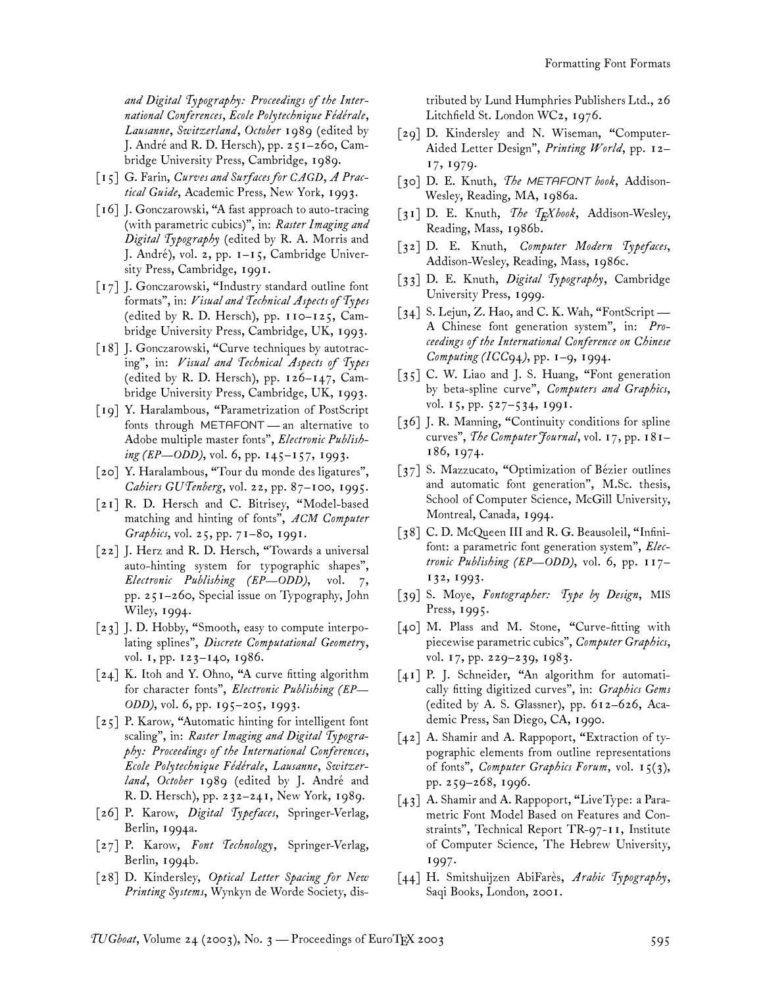*and Digital Typography: Proceedings of the International Conferences, Ecole Polytechnique Fédérale, Lausanne, Switzerland, October 1989* (edited by J. André and R. D. Hersch), pp. 251–260, Cambridge University Press, Cambridge, 1989.

- [15] G. Farin, *Curves and Surfaces for CAGD, A Practical Guide*, Academic Press, New York, 1993.
- [16] J. Gonczarowski, "A fast approach to auto-tracing (with parametric cubics)", in: *Raster Imaging and Digital Typography* (edited by R. A. Morris and J. André), vol. 2, pp. 1–15, Cambridge University Press, Cambridge, 1991.
- [17] J. Gonczarowski, "Industry standard outline font formats", in: *Visual and Technical Aspects of Types* (edited by R. D. Hersch), pp. 110–125, Cambridge University Press, Cambridge, UK, 1993.
- [18] J. Gonczarowski, "Curve techniques by autotracing", in: *Visual and Technical Aspects of Types* (edited by R. D. Hersch), pp.  $126-147$ , Cambridge University Press, Cambridge, UK, 1993.
- [19] Y. Haralambous, "Parametrization of PostScript fonts through METAFONT — an alternative to Adobe multiple master fonts", *Electronic Publishing (EP—ODD)*, vol. 6, pp. 145–157, 1993.
- [20] Y. Haralambous, "Tour du monde des ligatures", *Cahiers GUTenberg*, vol. 22, pp. 87–100, 1995.
- [21] R. D. Hersch and C. Bitrisey, "Model-based matching and hinting of fonts", *ACM Computer Graphics*, vol. 25, pp. 71–80, 1991.
- [22] J. Herz and R. D. Hersch, "Towards a universal auto-hinting system for typographic shapes", *Electronic Publishing (EP—ODD)*, vol. 7, pp. 251–260, Special issue on Typography, John Wiley, 1994.
- [23] J. D. Hobby, "Smooth, easy to compute interpolating splines", *Discrete Computational Geometry*, vol. 1, pp. 123–140, 1986.
- [24] K. Itoh and Y. Ohno, "A curve fitting algorithm for character fonts", *Electronic Publishing (EP— ODD)*, vol. 6, pp. 195–205, 1993.
- [25] P. Karow, "Automatic hinting for intelligent font scaling", in: *Raster Imaging and Digital Typography: Proceedings of the International Conferences, Ecole Polytechnique Fédérale, Lausanne, Switzerland, October 1989* (edited by J. André and R. D. Hersch), pp. 232–241, New York, 1989.
- [26] P. Karow, *Digital Typefaces*, Springer-Verlag, Berlin, 1994a.
- [27] P. Karow, *Font Technology*, Springer-Verlag, Berlin, 1994b.
- [28] D. Kindersley, *Optical Letter Spacing for New Printing Systems*, Wynkyn de Worde Society, dis-

tributed by Lund Humphries Publishers Ltd., 26 Litchfield St. London WC2, 1976.

- [29] D. Kindersley and N. Wiseman, "Computer-Aided Letter Design", *Printing World*, pp. 12– 17, 1979.
- [30] D. E. Knuth, *The METAFONT book*, Addison-Wesley, Reading, MA, 1986a.
- [31] D. E. Knuth, *The TEXbook*, Addison-Wesley, Reading, Mass, 1986b.
- [32] D. E. Knuth, *Computer Modern Typefaces*, Addison-Wesley, Reading, Mass, 1986c.
- [33] D. E. Knuth, *Digital Typography*, Cambridge University Press, 1999.
- [34] S. Lejun, Z. Hao, and C. K. Wah, "FontScript -A Chinese font generation system", in: *Proceedings of the International Conference on Chinese Computing (ICC94)*, pp. 1–9, 1994.
- [35] C. W. Liao and J. S. Huang, "Font generation by beta-spline curve", *Computers and Graphics*, vol. 15, pp. 527–534, 1991.
- [36] J. R. Manning, "Continuity conditions for spline curves", *The Computer Journal*, vol. 17, pp. 181– 186, 1974.
- [37] S. Mazzucato, "Optimization of Bézier outlines and automatic font generation", M.Sc. thesis, School of Computer Science, McGill University, Montreal, Canada, 1994.
- [38] C. D. McQueen III and R. G. Beausoleil, "Infinifont: a parametric font generation system", *Electronic Publishing (EP—ODD)*, vol. 6, pp. 117– 132, 1993.
- [39] S. Moye, *Fontographer: Type by Design*, MIS Press, 1995.
- [40] M. Plass and M. Stone, "Curve-fitting with piecewise parametric cubics", *Computer Graphics*, vol. 17, pp. 229–239, 1983.
- [41] P. J. Schneider, "An algorithm for automatically fitting digitized curves", in: *Graphics Gems* (edited by A. S. Glassner), pp. 612–626, Academic Press, San Diego, CA, 1990.
- [42] A. Shamir and A. Rappoport, "Extraction of typographic elements from outline representations of fonts", *Computer Graphics Forum*, vol. 15(3), pp. 259–268, 1996.
- [43] A. Shamir and A. Rappoport, "LiveType: a Parametric Font Model Based on Features and Constraints", Technical Report TR-97-11, Institute of Computer Science, The Hebrew University, 1997.
- [44] H. Smitshuijzen AbiFarès, *Arabic Typography*, Saqi Books, London, 2001.